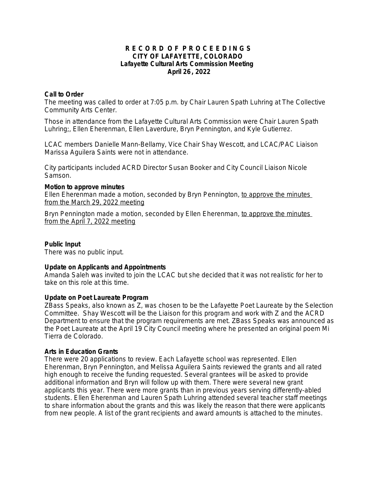### **R E C O R D O F P R O C E E D I N G S CITY OF LAFAYETTE, COLORADO Lafayette Cultural Arts Commission Meeting April 26, 2022**

### **Call to Order**

The meeting was called to order at 7:05 p.m. by Chair Lauren Spath Luhring at The Collective Community Arts Center.

Those in attendance from the Lafayette Cultural Arts Commission were Chair Lauren Spath Luhring;, Ellen Eherenman, Ellen Laverdure, Bryn Pennington, and Kyle Gutierrez.

LCAC members Danielle Mann-Bellamy, Vice Chair Shay Wescott, and LCAC/PAC Liaison Marissa Aguilera Saints were not in attendance.

City participants included ACRD Director Susan Booker and City Council Liaison Nicole Samson.

### **Motion to approve minutes**

Ellen Eherenman made a motion, seconded by Bryn Pennington, *to approve the minutes from the March 29, 2022 meeting*

Bryn Pennington made a motion, seconded by Ellen Eherenman, *to approve the minutes from the April 7, 2022 meeting*

#### **Public Input**

There was no public input.

### **Update on Applicants and Appointments**

Amanda Saleh was invited to join the LCAC but she decided that it was not realistic for her to take on this role at this time.

### **Update on Poet Laureate Program**

ZBass Speaks, also known as Z, was chosen to be the Lafayette Poet Laureate by the Selection Committee. Shay Wescott will be the Liaison for this program and work with Z and the ACRD Department to ensure that the program requirements are met. ZBass Speaks was announced as the Poet Laureate at the April 19 City Council meeting where he presented an original poem Mi Tierra de Colorado.

### **Arts in Education Grants**

There were 20 applications to review. Each Lafayette school was represented. Ellen Eherenman, Bryn Pennington, and Melissa Aguilera Saints reviewed the grants and all rated high enough to receive the funding requested. Several grantees will be asked to provide additional information and Bryn will follow up with them. There were several new grant applicants this year. There were more grants than in previous years serving differently-abled students. Ellen Eherenman and Lauren Spath Luhring attended several teacher staff meetings to share information about the grants and this was likely the reason that there were applicants from new people. A list of the grant recipients and award amounts is attached to the minutes.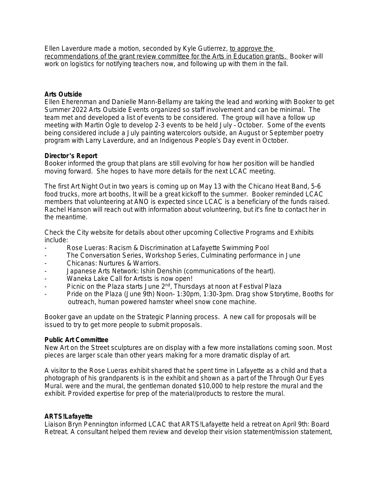Ellen Laverdure made a motion, seconded by Kyle Gutierrez, *to approve the*  recommendations of the grant review committee for the Arts in Education grants. Booker will work on logistics for notifying teachers now, and following up with them in the fall.

### **Arts Outside**

Ellen Eherenman and Danielle Mann-Bellamy are taking the lead and working with Booker to get Summer 2022 Arts Outside Events organized so staff involvement and can be minimal. The team met and developed a list of events to be considered. The group will have a follow up meeting with Martin Ogle to develop 2-3 events to be held July – October. Some of the events being considered include a July painting watercolors outside, an August or September poetry program with Larry Laverdure, and an Indigenous People's Day event in October.

### **Director**'**s Report**

Booker informed the group that plans are still evolving for how her position will be handled moving forward. She hopes to have more details for the next LCAC meeting.

The first Art Night Out in two years is coming up on May 13 with the Chicano Heat Band, 5-6 food trucks, more art booths, It will be a great kickoff to the summer. Booker reminded LCAC members that volunteering at ANO is expected since LCAC is a beneficiary of the funds raised. Rachel Hanson will reach out with information about volunteering, but it's fine to contact her in the meantime.

Check the City website for details about other upcoming Collective Programs and Exhibits include:

- Rose Lueras: Racism & Discrimination at Lafayette Swimming Pool
- The Conversation Series, Workshop Series, Culminating performance in June
- Chicanas: Nurtures & Warriors.
- Japanese Arts Network: Ishin Denshin (communications of the heart).
- Waneka Lake Call for Artists is now open!
- Picnic on the Plaza starts June 2<sup>nd</sup>, Thursdays at noon at Festival Plaza
- Pride on the Plaza (June 9th) Noon- 1:30pm, 1:30-3pm. Drag show Storytime, Booths for outreach, human powered hamster wheel snow cone machine.

Booker gave an update on the Strategic Planning process. A new call for proposals will be issued to try to get more people to submit proposals.

### **Public Art Committee**

New Art on the Street sculptures are on display with a few more installations coming soon. Most pieces are larger scale than other years making for a more dramatic display of art.

A visitor to the Rose Lueras exhibit shared that he spent time in Lafayette as a child and that a photograph of his grandparents is in the exhibit and shown as a part of the Through Our Eyes Mural. were and the mural, the gentleman donated \$10,000 to help restore the mural and the exhibit. Provided expertise for prep of the material/products to restore the mural.

# **ARTS!Lafayette**

Liaison Bryn Pennington informed LCAC that ARTS!Lafayette held a retreat on April 9th: Board Retreat. A consultant helped them review and develop their vision statement/mission statement,